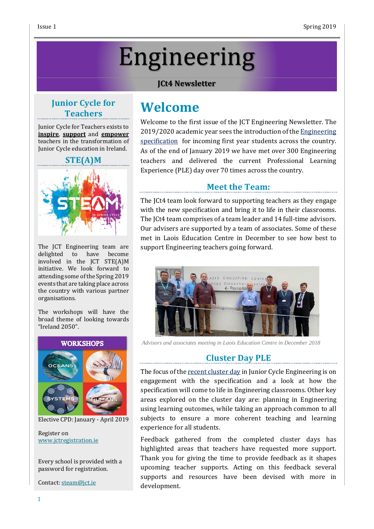# Engineering

#### **JCt4 Newsletter**

#### **Junior Cycle for Teachers**

Junior Cycle for Teachers exists to **inspire**, **support** and **empower** teachers in the transformation of Junior Cycle education in Ireland.

#### **STE(A)M**



The JCT Engineering team are delighted to have become involved in the JCT STE(A)M initiative. We look forward to attending some of the Spring 2019 events that are taking place across the country with various partner organisations.

The workshops will have the broad theme of looking towards "Ireland 2050".



Elective CPD: January - April 2019

Register on [www.jctregistration.ie](http://www.jctregistration.ie/)

Every school is provided with a password for registration.

Contact: [steam@jct.ie](mailto:steam@jct.ie)

# **Welcome**

Welcome to the first issue of the JCT Engineering Newsletter. The 2019/2020 academic year sees the introduction of the **[Engineering](https://www.curriculumonline.ie/getmedia/80a6f0c8-e5a1-439e-a6af-cde49336f735/Engineering-Specification.pdf)** [specification](https://www.curriculumonline.ie/getmedia/80a6f0c8-e5a1-439e-a6af-cde49336f735/Engineering-Specification.pdf) for incoming first year students across the country. As of the end of January 2019 we have met over 300 Engineering teachers and delivered the current Professional Learning Experience (PLE) day over 70 times across the country.

#### **Meet the Team:**

The JCt4 team look forward to supporting teachers as they engage with the new specification and bring it to life in their classrooms. The JCt4 team comprises of a team leader and 14 full-time advisors. Our advisers are supported by a team of associates. Some of these met in Laois Education Centre in December to see how best to support Engineering teachers going forward.



*Advisors and associates meeting in Laois Education Centre in December 2018*

#### **Cluster Day PLE**

The focus of the recent [cluster](https://www.jct.ie/technologies/cpd_supports_engineering_cpd_workshops_2018_2019) day in Junior Cycle Engineering is on engagement with the specification and a look at how the specification will come to life in Engineering classrooms. Other key areas explored on the cluster day are: planning in Engineering using learning outcomes, while taking an approach common to all subjects to ensure a more coherent teaching and learning experience for all students.

Feedback gathered from the completed cluster days has highlighted areas that teachers have requested more support. Thank you for giving the time to provide feedback as it shapes upcoming teacher supports. Acting on this feedback several supports and resources have been devised with more in development.